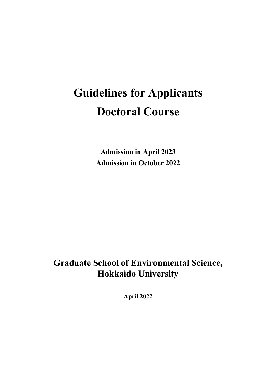# **Guidelines for Applicants Doctoral Course**

**Admission in April 2023 Admission in October 2022** 

### **Graduate School of Environmental Science, Hokkaido University**

**April 2022**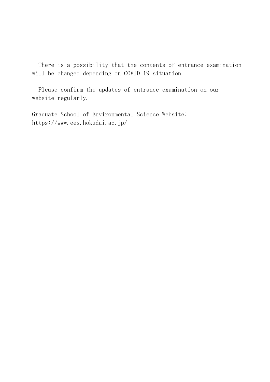There is a possibility that the contents of entrance examination will be changed depending on COVID-19 situation.

 Please confirm the updates of entrance examination on our website regularly.

Graduate School of Environmental Science Website: https://www.ees.hokudai.ac.jp/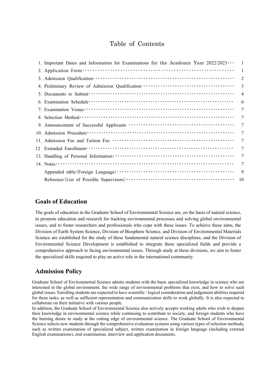### Table of Contents

|    | 1. Important Dates and Information for Examinations for the Academic Year $2022/2023 \cdots$ | 1               |
|----|----------------------------------------------------------------------------------------------|-----------------|
|    |                                                                                              | 1               |
|    |                                                                                              | $\overline{2}$  |
|    |                                                                                              | 3               |
|    |                                                                                              | $\overline{4}$  |
|    |                                                                                              | 6               |
|    |                                                                                              | $\overline{7}$  |
|    |                                                                                              | 7               |
|    |                                                                                              | $\tau$          |
|    |                                                                                              | 7               |
|    |                                                                                              | $\tau$          |
| 12 |                                                                                              | $\tau$          |
|    |                                                                                              | $7\phantom{.0}$ |
|    |                                                                                              | $\tau$          |
|    |                                                                                              | 9               |
|    |                                                                                              | 10              |

#### **Goals of Education**

The goals of education in the Graduate School of Environmental Science are, on the basis of natural science, to promote education and research for tracking environmental processes and solving global environmental issues, and to foster researchers and professionals who cope with these issues. To achieve these aims, the Division of Earth System Science, Division of Biosphere Science, and Division of Environmental Materials Science are established for the study of these fundamental natural science disciplines, and the Division of Environmental Science Development is established to integrate these specialized fields and provide a comprehensive approach to facing environmental issues. Through study at these divisions, we aim to foster the specialized skills required to play an active role in the international community.

#### **Admission Policy**

Graduate School of Environmental Science admits students with the basic specialized knowledge in science who are interested in the global environment, the wide range of environmental problems that exist, and how to solve such global issues. Enrolling students are expected to have scientific / logical consideration and judgement abilities required for these tasks, as well as sufficient representation and communication skills to work globally. It is also expected to collaborate on their initiative with various people.

In addition, the Graduate School of Environmental Science also actively accepts working adults who wish to deepen their knowledge in environmental science while continuing to contribute to society, and foreign students who have the burning desire to study at the cutting edge of environmental science. The Graduate School of Environmental Science selects new students through the comprehensive evaluation systems using various types of selection methods, such as written examination of specialized subject, written examination in foreign language (including external English examinations), oral examination, interview and application documents.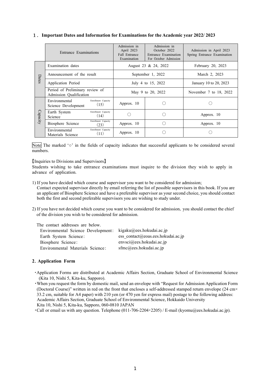#### 1.**Important Dates and Information for Examinations for the Academic year 2022/ 2023**

|          | Entrance Examinations                                             |                             | Admission in<br>Admission in<br>April 2023<br>October 2022<br>Fall Entrance<br>Entrance Examination<br>Examination<br>For October Admission |  | Admission in April 2023<br>Spring Entrance Examination |  |
|----------|-------------------------------------------------------------------|-----------------------------|---------------------------------------------------------------------------------------------------------------------------------------------|--|--------------------------------------------------------|--|
|          | Examination dates                                                 |                             | August 23 & 24, 2022                                                                                                                        |  | February 20, 2023                                      |  |
|          | Announcement of the result                                        |                             | September 1, 2022                                                                                                                           |  | March 2, 2023                                          |  |
| Dates    | Application Period                                                |                             | July 4 to 15, 2022                                                                                                                          |  | January 10 to 20, 2023                                 |  |
|          | Period of Preliminary review of<br>Admission Qualification        |                             | May 9 to 20, 2022                                                                                                                           |  | November 7 to 18, 2022                                 |  |
|          | Environmental<br>Science Development                              | Enrollment Capacity<br>(15) | Approx. 10                                                                                                                                  |  |                                                        |  |
| Capacity | Earth System<br>Science                                           | Enrollment Capacity<br>(14) |                                                                                                                                             |  | Approx. 10                                             |  |
|          | Biosphere Science                                                 | Enrollment Capacity<br>(23) | Approx. 10                                                                                                                                  |  | Approx. 10                                             |  |
|          | Enrollment Capacity<br>Environmental<br>(11)<br>Materials Science |                             | Approx. 10                                                                                                                                  |  |                                                        |  |

Note The marked '○' in the fields of capacity indicates that successful applicants to be considered several numbers.

【Inquiries to Divisions and Supervisors】

Students wishing to take entrance examinations must inquire to the division they wish to apply in advance of application.

1) If you have decided which course and supervisor you want to be considered for admission;

Contact expected supervisor directly by email referring the list of possible supervisors in this book. If you are an applicant of Biosphere Science and have a preferable supervisor as your second choice, you should contact both the first and second preferable supervisors you are wishing to study under.

2) If you have not decided which course you want to be considered for admission,you should contact the chief of the division you wish to be considered for admission.

| The contact addresses are below.   |                                    |
|------------------------------------|------------------------------------|
| Environmental Science Development: | $kigaku(\omega)$ ees.hokudai.ac.jp |
| Earth System Science:              | ess contact@eoas.ees.hokudai.ac.jp |
| Biosphere Science:                 | $envsci(a)$ ees.hokudai.ac.jp      |
| Environmental Materials Science:   | $s$ fmc@ees.hokudai.ac.jp          |

#### **2**.**Application Form**

- ・Application Forms are distributed at Academic Affairs Section, Graduate School of Environmental Science (Kita 10, Nishi 5, Kita-ku, Sapporo).
- ・When you request the form by domestic mail, send an envelope with "Request for Admission Application Form (Doctoral Course)" written in red on the front that encloses a self-addressed stamped return envelope (24 cm× 33.2 cm, suitable for A4 paper) with 210 yen (or 470 yen for express mail) postage to the following address: Academic Affairs Section, Graduate School of Environmental Science, Hokkaido University Kita 10, Nishi 5, Kita-ku, Sapporo, 060-0810 JAPAN

•Call or email us with any question. Telephone  $(011-706-2204 \cdot 2205)$  / E-mail (kyomu@ees.hokudai.ac.jp).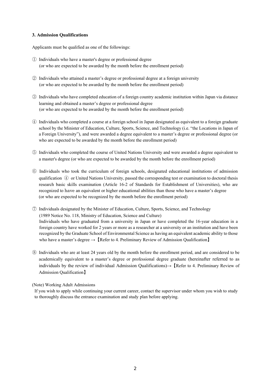#### **3. Admission Qualifications**

Applicants must be qualified as one of the followings:

- ① Individuals who have a master's degree or professional degree (or who are expected to be awarded by the month before the enrollment period)
- ② Individuals who attained a master's degree or professional degree at a foreign university (or who are expected to be awarded by the month before the enrollment period)
- ③ Individuals who have completed education of a foreign country academic institution within Japan via distance learning and obtained a master's degree or professional degree (or who are expected to be awarded by the month before the enrollment period)
- ④ Individuals who completed a course at a foreign school in Japan designated as equivalent to a foreign graduate school by the Minister of Education, Culture, Sports, Science, and Technology (i.e. "the Locations in Japan of a Foreign University"), and were awarded a degree equivalent to a master's degree or professional degree (or who are expected to be awarded by the month before the enrollment period)
- ⑤ Individuals who completed the course of United Nations University and were awarded a degree equivalent to a master's degree (or who are expected to be awarded by the month before the enrollment period)
- ⑥ Individuals who took the curriculum of foreign schools, designated educational institutions of admission qualification  $\Phi$  or United Nations University, passed the corresponding test or examination to doctoral thesis research basic skills examination (Article 16-2 of Standards for Establishment of Universities), who are recognized to have an equivalent or higher educational abilities than those who have a master's degree (or who are expected to be recognized by the month before the enrollment period)
- ⑦ Individuals designated by the Minister of Education, Culture, Sports, Science, and Technology (1989 Notice No. 118, Ministry of Education, Science and Culture) Individuals who have graduated from a university in Japan or have completed the 16-year education in a foreign country have worked for 2 years or more as a researcher at a university or an institution and have been recognized by the Graduate School of Environmental Science as having an equivalent academic ability to those who have a master's degree  $\rightarrow$  [Refer to 4. Preliminary Review of Admission Qualification]
- ⑧ Individuals who are at least 24 years old by the month before the enrollment period, and are considered to be academically equivalent to a master's degree or professional degree graduate (hereinafter referred to as individuals by the review of individual Admission Qualifications)→【Refer to 4. Preliminary Review of Admission Qualification】

#### (Note) Working Adult Admissions

If you wish to apply while continuing your current career, contact the supervisor under whom you wish to study to thoroughly discuss the entrance examination and study plan before applying.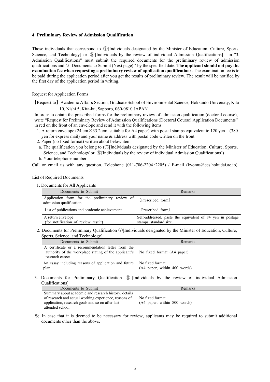#### **4**. **Preliminary Review of Admission Qualification**

Those individuals that correspond to ⑦[Individuals designated by the Minister of Education, Culture, Sports, Science, and Technology] or **⑧[Individuals by the review of individual Admission Qualifications]** in "3. Admission Qualifications" must submit the required documents for the preliminary review of admission qualifications and "5. Documents to Submit (Next page) " by the specified date. **The applicant should not pay the examination fee when requesting a preliminary review of application qualifications.** The examination fee is to be paid during the application period after you get the results of preliminary review. The result will be notified by the first day of the application period in writing.

Request for Application Forms

【Request to】 Academic Affairs Section, Graduate School of Environmental Science, Hokkaido University, Kita 10, Nishi 5, Kita-ku, Sapporo, 060-0810 JAPAN

In order to obtain the prescribed forms for the preliminary review of admission qualification (doctoral course), write "Request for Preliminary Review of Admission Qualifications (Doctoral Course) Application Documents" in red on the front of an envelope and send it with the following items:

- 1. A return envelope (24 cm  $\times$  33.2 cm, suitable for A4 paper) with postal stamps equivalent to 120 yen (380) yen for express mail) and your name & address with postal code written on the front.
- 2. Paper (no fixed format) written about below item
- a. The qualification you belong to  $(\mathbb{O}[\text{Individuals designeded by the Minister of Education, Culture, Sports,$ Science, and Technology]or **⑧[Individuals by the review of individual Admission Qualifications]**)
- b. Your telephone number

Call or email us with any question. Telephone  $(011-706-2204 \cdot 2205)$  / E-mail (kyomu@ees.hokudai.ac.jp)

List of Required Documents

1. Documents for All Applicants

| Documents to Submit                                                       | Remarks                                                                             |
|---------------------------------------------------------------------------|-------------------------------------------------------------------------------------|
| Application form for the preliminary review of<br>admission qualification | [Prescribed form]                                                                   |
| List of publications and academic achievement                             | [Prescribed form]                                                                   |
| A return envelope<br>(for notification of review result)                  | Self-addressed, paste the equivalent of 84 yen in postage<br>stamps, standard size. |

2. Documents for Preliminary Qualification ⑦[Individuals designated by the Minister of Education, Culture, Sports, Science, and Technology]

| Documents to Submit                                                                                                                                      | Remarks                                         |
|----------------------------------------------------------------------------------------------------------------------------------------------------------|-------------------------------------------------|
| A certificate or a recommendation letter from the<br>authority of the workplace stating of the applicant's No fixed format (A4 paper)<br>research career |                                                 |
| An essay including reasons of application and future<br>plan                                                                                             | No fixed format<br>(A4 paper, within 400 words) |

3. Documents for Preliminary Qualification ⑧ [Individuals by the review of individual Admission Qualifications]

| Documents to Submit                                   | Remarks                      |
|-------------------------------------------------------|------------------------------|
| Summary about academic and research history, details  |                              |
| of research and actual working experience, reasons of | No fixed format              |
| application, research goals and so on after last      | (A4 paper, within 800 words) |
| attended school                                       |                              |

※ In case that it is deemed to be necessary for review, applicants may be required to submit additional documents other than the above.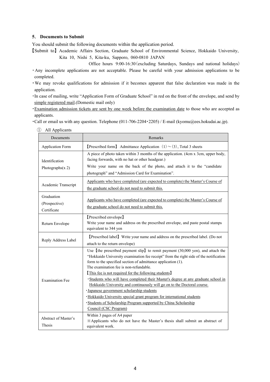#### **5**. **Documents to Submit**

You should submit the following documents within the application period.

【Submit to】 Academic Affairs Section, Graduate School of Environmental Science, Hokkaido University, Kita 10, Nishi 5, Kita-ku, Sapporo, 060-0810 JAPAN

Office hours 9:00-16:30(excluding Saturdays, Sundays and national holidays)

- ・Any incomplete applications are not acceptable. Please be careful with your admission applications to be completed.
- ・We may revoke qualifications for admission if it becomes apparent that false declaration was made in the application.
- ・In case of mailing, write "Application Form of Graduate School" in red on the front of the envelope, and send by simple registered mail.(Domestic mail only)
- ・Examination admission tickets are sent by one week before the examination date to those who are accepted as applicants.

・Call or email us with any question. Telephone (011-706-2204・2205) / E-mail (kyomu@ees.hokudai.ac.jp).

| Documents                                  | Remarks                                                                                                                                                                                                                                                                                                                                                                                                                                                                                                                                                               |  |  |  |  |
|--------------------------------------------|-----------------------------------------------------------------------------------------------------------------------------------------------------------------------------------------------------------------------------------------------------------------------------------------------------------------------------------------------------------------------------------------------------------------------------------------------------------------------------------------------------------------------------------------------------------------------|--|--|--|--|
| <b>Application Form</b>                    | <b>[Prescribed form]</b> Admittance Application $(1) \sim (3)$ , Total 3 sheets                                                                                                                                                                                                                                                                                                                                                                                                                                                                                       |  |  |  |  |
| Identification<br>Photographs $(x 2)$      | A piece of photo taken within 3 months of the application. (4cm x 3cm, upper body,<br>facing forwards, with no hat or other headgear.)<br>Write your name on the back of the photo, and attach it to the "candidate<br>photograph" and "Admission Card for Examination".                                                                                                                                                                                                                                                                                              |  |  |  |  |
| Academic Transcript                        | Applicants who have completed (are expected to complete) the Master's Course of<br>the graduate school do not need to submit this.                                                                                                                                                                                                                                                                                                                                                                                                                                    |  |  |  |  |
| Graduation<br>(Prospective)<br>Certificate | Applicants who have completed (are expected to complete) the Master's Course of<br>the graduate school do not need to submit this.                                                                                                                                                                                                                                                                                                                                                                                                                                    |  |  |  |  |
| Return Envelope                            | [Prescribed envelope]<br>Write your name and address on the prescribed envelope, and paste postal stamps<br>equivalent to 344 yen                                                                                                                                                                                                                                                                                                                                                                                                                                     |  |  |  |  |
| Reply Address Label                        | [Prescribed label] Write your name and address on the prescribed label. (Do not<br>attach to the return envelope)                                                                                                                                                                                                                                                                                                                                                                                                                                                     |  |  |  |  |
| <b>Examination Fee</b>                     | Use [the prescribed payment slip] to remit payment $(30,000 \text{ yen})$ , and attach the<br>"Hokkaido University examination fee receipt" from the right side of the notification<br>form to the specified section of admittance application (1).<br>The examination fee is non-refundable.<br>[This fee is not required for the following students]<br>• Students who will have completed their Master's degree at any graduate school in<br>Hokkaido University and continuously will go on to the Doctoral course.<br>· Japanese government scholarship students |  |  |  |  |
|                                            | · Hokkaido University special grant program for international students<br>· Students of Scholarship Program supported by China Scholarship<br>Council (CSC Program)                                                                                                                                                                                                                                                                                                                                                                                                   |  |  |  |  |
| Abstract of Master's<br>Thesis             | Within 3 pages of A4 paper<br>*Applicants who do not have the Master's thesis shall submit an abstract of<br>equivalent work.                                                                                                                                                                                                                                                                                                                                                                                                                                         |  |  |  |  |

① All Applicants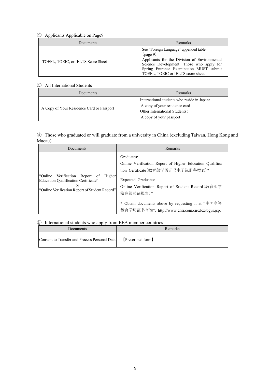#### ② Applicants Applicable on Page9

| Documents                          | Remarks                                                                                                                                                                                                                        |
|------------------------------------|--------------------------------------------------------------------------------------------------------------------------------------------------------------------------------------------------------------------------------|
| TOEFL, TOEIC, or IELTS Score Sheet | See "Foreign Language" appended table<br>(page 9)<br>Applicants for the Division of Environmental<br>Science Development: Those who apply for<br>Spring Entrance Examination MUST submit<br>TOEFL, TOEIC or IELTS score sheet. |

#### ③ All International Students

| Documents                                 | Remarks                                                                                                                                  |
|-------------------------------------------|------------------------------------------------------------------------------------------------------------------------------------------|
| A Copy of Your Residence Card or Passport | International students who reside in Japan:<br>A copy of your residence card<br>Other International Students:<br>A copy of your passport |

#### ④ Those who graduated or will graduate from a university in China (excluding Taiwan, Hong Kong and Macau)

| Documents                                                                                                                                    | Remarks                                                                                                                                                                                                                                                                                                         |
|----------------------------------------------------------------------------------------------------------------------------------------------|-----------------------------------------------------------------------------------------------------------------------------------------------------------------------------------------------------------------------------------------------------------------------------------------------------------------|
| "Online"<br>Verification Report of<br>Higher<br>Education Qualification Certificate"<br>or<br>"Online Verification Report of Student Record" | Graduates:<br>Online Verification Report of Higher Education Qualifica<br>tion Certificate(教育部学历证书电子注册备案表)*<br>Expected Graduates:<br>Online Verification Report of Student Record (教育部学<br>籍在线验证报告)*<br>* Obtain documents above by requesting it at "中国高等<br>教育学历证书查询": http://www.chsi.com.cn/xlcx/bgys.jsp. |

#### ⑤ International students who apply from EEA member countries

|           | .                                             |                   |  |  |
|-----------|-----------------------------------------------|-------------------|--|--|
| Documents |                                               | Remarks           |  |  |
|           | Consent to Transfer and Process Personal Data | [Prescribed form] |  |  |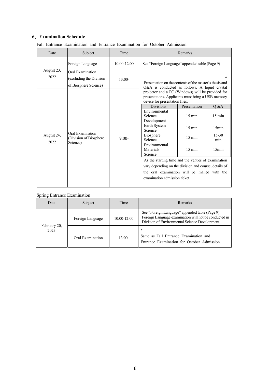#### **6**.**Examination Schedule**

|  |  | Fall Entrance Examination and Entrance Examination for October Admission |  |  |  |  |  |  |
|--|--|--------------------------------------------------------------------------|--|--|--|--|--|--|
|--|--|--------------------------------------------------------------------------|--|--|--|--|--|--|

| Date               | Subject                                                              | Time            | Remarks                                                                                                                                                                                                                                                                                                                                                                                                                                                                                                    |                                                                                              |                                                                |
|--------------------|----------------------------------------------------------------------|-----------------|------------------------------------------------------------------------------------------------------------------------------------------------------------------------------------------------------------------------------------------------------------------------------------------------------------------------------------------------------------------------------------------------------------------------------------------------------------------------------------------------------------|----------------------------------------------------------------------------------------------|----------------------------------------------------------------|
|                    | Foreign Language                                                     | $10:00 - 12:00$ | See "Foreign Language" appended table (Page 9)                                                                                                                                                                                                                                                                                                                                                                                                                                                             |                                                                                              |                                                                |
| August 23,<br>2022 | Oral Examination<br>(excluding the Division<br>of Biosphere Science) | $13:00-$        | Presentation on the contents of the master's thesis and<br>Q&A is conducted as follows. A liquid crystal                                                                                                                                                                                                                                                                                                                                                                                                   |                                                                                              |                                                                |
| August 24,<br>2022 | Oral Examination<br>(Division of Biosphere<br>Science)               | $9:00-$         | projector and a PC (Windows) will be provided for<br>presentations. Applicants must bring a USB memory<br>device for presentation files.<br><b>Divisions</b><br>Environmental<br>Science<br>Development<br>Earth System<br>Science<br><b>Biosphere</b><br>Science<br>Environmental<br>Materials<br>Science<br>As the starting time and the venues of examination<br>vary depending on the division and course, details of<br>the oral examination will be mailed with the<br>examination admission ticket. | Presentation<br>$15 \text{ min}$<br>$15 \text{ min}$<br>$15 \text{ min}$<br>$15 \text{ min}$ | Q &A<br>$15 \text{ min}$<br>15min<br>$15 - 30$<br>min<br>15min |

#### Spring Entrance Examination

| Date                 | Subject          | Time        | <b>Remarks</b>                                                                                                                                            |
|----------------------|------------------|-------------|-----------------------------------------------------------------------------------------------------------------------------------------------------------|
|                      | Foreign Language | 10:00-12:00 | See "Foreign Language" appended table (Page 9)<br>Foreign Language examination will not be conducted in<br>Division of Environmental Science Development. |
| February 20,<br>2023 | Oral Examination | $13:00-$    | $\ast$<br>Same as Fall Entrance Examination and<br>Entrance Examination for October Admission.                                                            |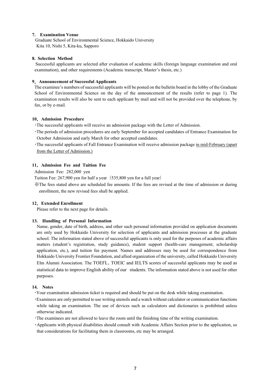#### **7. Examination Venue**

Graduate School of Environmental Science, Hokkaido University Kita 10, Nishi 5, Kita-ku, Sapporo

#### **8. Selection Method**

Successful applicants are selected after evaluation of academic skills (foreign language examination and oral examination), and other requirements (Academic transcript, Master's thesis, etc.)

#### **9**.**Announcement of Successful Applicants**

The examinee's numbers of successful applicants will be posted on the bulletin board in the lobby of the Graduate School of Environmental Science on the day of the announcement of the results (refer to page 1). The examination results will also be sent to each applicant by mail and will not be provided over the telephone, by fax, or by e-mail.

#### **10**.**Admission Procedure**

・The successful applicants will receive an admission package with the Letter of Admission.

- ・The periods of admission procedures are early September for accepted candidates of Entrance Examination for October Admission and early March for other accepted candidates.
- ・The successful applicants of Fall Entrance Examination will receive admission package in mid-February (apart from the Letter of Admission.)

#### **11**.**Admission Fee and Tuition Fee**

Admission Fee: 282,000 yen

Tuition Fee: 267,900 yen for half a year (535,800 yen for a full year)

※The fees stated above are scheduled fee amounts. If the fees are revised at the time of admission or during enrollment, the new revised fees shall be applied.

#### **12**.**Extended Enrollment**

Please refer to the next page for details.

#### **13. Handling of Personal Information**

 Name, gender, date of birth, address, and other such personal information provided on application documents are only used by Hokkaido University for selection of applicants and admission processes at the graduate school. The information stated above of successful applicants is only used for the purposes of academic affairs matters (student's registration, study guidance), student support (health-care management, scholarship application, etc.), and tuition fee payment. Names and addresses may be used for correspondence from Hokkaido University Frontier Foundation, and allied organization of the university, called Hokkaido University Elm Alumni Association. The TOEFL, TOEIC and IELTS scores of successful applicants may be used as statistical data to improve English ability of our students. The information stated above is not used for other purposes.

#### **14. Notes**

・Your examination admission ticket is required and should be put on the desk while taking examination.

・Examinees are only permitted to use writing utensils and a watch without calculator or communication functions while taking an examination. The use of devices such as calculators and dictionaries is prohibited unless otherwise indicated.

・The examinees are not allowed to leave the room until the finishing time of the writing examination.

・Applicants with physical disabilities should consult with Academic Affairs Section prior to the application, so that considerations for facilitating them in classrooms, etc may be arranged.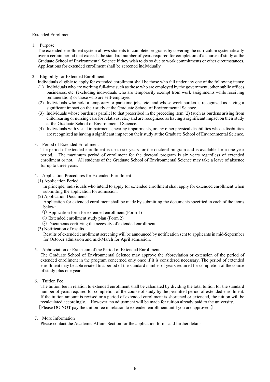#### Extended Enrollment

1. Purpose

The extended enrollment system allows students to complete programs by covering the curriculum systematically over a certain period that exceeds the standard number of years required for completion of a course of study at the Graduate School of Environmental Science if they wish to do so due to work commitments or other circumstances. Applications for extended enrollment shall be screened individually.

- 2. Eligibility for Extended Enrollment
	- Individuals eligible to apply for extended enrollment shall be those who fall under any one of the following items:
	- (1) Individuals who are working full-time such as those who are employed by the government, other public offices, businesses, etc. (excluding individuals who are temporarily exempt from work assignments while receiving remuneration) or those who are self-employed.
	- (2) Individuals who hold a temporary or part-time jobs, etc. and whose work burden is recognized as having a significant impact on their study at the Graduate School of Environmental Science.
	- (3) Individuals whose burden is parallel to that prescribed in the preceding item (2) (such as burdens arising from child rearing or nursing care for relatives, etc.) and are recognized as having a significant impact on their study at the Graduate School of Environmental Science.
	- (4) Individuals with visual impairments, hearing impairments, or any other physical disabilities whose disabilities are recognized as having a significant impact on their study at the Graduate School of Environmental Science.

#### 3. Period of Extended Enrollment

The period of extended enrollment is up to six years for the doctoral program and is available for a one-year period. The maximum period of enrollment for the doctoral program is six years regardless of extended enrollment or not. All students of the Graduate School of Environmental Science may take a leave of absence for up to three years.

#### 4. Application Procedures for Extended Enrollment

(1) Application Period

In principle, individuals who intend to apply for extended enrollment shall apply for extended enrollment when submitting the application for admission.

(2) Application Documents

Application for extended enrollment shall be made by submitting the documents specified in each of the items below:

- ① Application form for extended enrollment (Form 1)
- ② Extended enrollment study plan (Form 2)
- ③ Documents certifying the necessity of extended enrollment
- (3) Notification of results

Results of extended enrollment screening will be announced by notification sent to applicants in mid-September for October admission and mid-March for April admission.

#### 5. Abbreviation or Extension of the Period of Extended Enrollment

The Graduate School of Environmental Science may approve the abbreviation or extension of the period of extended enrollment in the program concerned only once if it is considered necessary. The period of extended enrollment may be abbreviated to a period of the standard number of years required for completion of the course of study plus one year.

6. Tuition Fee

The tuition fee in relation to extended enrollment shall be calculated by dividing the total tuition for the standard number of years required for completion of the course of study by the permitted period of extended enrollment. If the tuition amount is revised or a period of extended enrollment is shortened or extended, the tuition will be recalculated accordingly. However, no adjustment will be made for tuition already paid to the university. 【Please DO NOT pay the tuition fee in relation to extended enrollment until you are approved.】

#### 7. More Information

Please contact the Academic Affairs Section for the application forms and further details.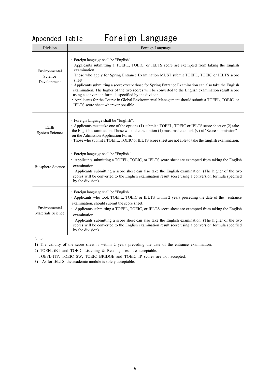Appended Table Foreign Language

| Division                                | Foreign Language                                                                                                                                                                                                                                                                                                                                                                                                                                                                                                                                                                                                                                                                |  |  |
|-----------------------------------------|---------------------------------------------------------------------------------------------------------------------------------------------------------------------------------------------------------------------------------------------------------------------------------------------------------------------------------------------------------------------------------------------------------------------------------------------------------------------------------------------------------------------------------------------------------------------------------------------------------------------------------------------------------------------------------|--|--|
| Environmental<br>Science<br>Development | · Foreign language shall be "English".<br>Applicants submitting a TOEFL, TOEIC, or IELTS score are exempted from taking the English<br>examination.<br>· Those who apply for Spring Entrance Examination MUST submit TOEFL, TOEIC or IELTS score<br>sheet.<br>• Applicants submitting a score except those for Spring Entrance Examination can also take the English<br>examination. The higher of the two scores will be converted to the English examination result score<br>using a conversion formula specified by the division.<br>· Applicants for the Course in Global Environmental Management should submit a TOEFL, TOEIC, or<br>IELTS score sheet wherever possible. |  |  |
| Earth<br><b>System Science</b>          | · Foreign language shall be "English".<br>Applicants must take one of the options (1) submit a TOEFL, TOEIC or IELTS score sheet or (2) take<br>the English examination. Those who take the option $(1)$ must make a mark $(0)$ at "Score submission"<br>on the Admission Application Form.<br>· Those who submit a TOEFL, TOEIC or IELTS score sheet are not able to take the English examination.                                                                                                                                                                                                                                                                             |  |  |
| <b>Biosphere Science</b>                | · Foreign language shall be "English."<br>· Applicants submitting a TOEFL, TOEIC, or IELTS score sheet are exempted from taking the English<br>examination.<br>• Applicants submitting a score sheet can also take the English examination. (The higher of the two<br>scores will be converted to the English examination result score using a conversion formula specified<br>by the division).                                                                                                                                                                                                                                                                                |  |  |
| Environmental<br>Materials Science      | · Foreign language shall be "English."<br>· Applicants who took TOEFL, TOEIC or IELTS within 2 years preceding the date of the entrance<br>examination, should submit the score sheet.<br>· Applicants submitting a TOEFL, TOEIC, or IELTS score sheet are exempted from taking the English<br>examination.<br>· Applicants submitting a score sheet can also take the English examination. (The higher of the two<br>scores will be converted to the English examination result score using a conversion formula specified<br>by the division).                                                                                                                                |  |  |
| Note:                                   | 1) The validity of the score sheet is within 2 years preceding the date of the entrance examination.                                                                                                                                                                                                                                                                                                                                                                                                                                                                                                                                                                            |  |  |

2) TOEFL-iBT and TOEIC Listening & Reading Test are acceptable.

TOEFL-ITP, TOEIC SW, TOEIC BRIDGE and TOEIC IP scores are not accepted.

3) As for IELTS, the academic module is solely acceptable.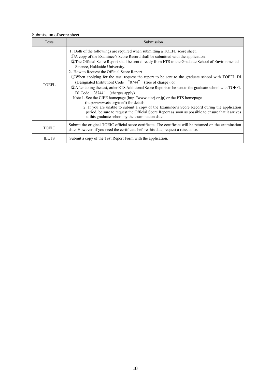#### Submission of score sheet

| Tests        | Submission                                                                                                                                                                                                                                                                                                                                                                                                                                                                                                                                                                                                                                                                                                                                                                                                                                                                                                                                                                                                                                                   |
|--------------|--------------------------------------------------------------------------------------------------------------------------------------------------------------------------------------------------------------------------------------------------------------------------------------------------------------------------------------------------------------------------------------------------------------------------------------------------------------------------------------------------------------------------------------------------------------------------------------------------------------------------------------------------------------------------------------------------------------------------------------------------------------------------------------------------------------------------------------------------------------------------------------------------------------------------------------------------------------------------------------------------------------------------------------------------------------|
| <b>TOEFL</b> | 1. Both of the followings are required when submitting a TOEFL score sheet.<br>(1) A copy of the Examinee's Score Record shall be submitted with the application.<br>2) The Official Score Report shall be sent directly from ETS to the Graduate School of Environmental<br>Science, Hokkaido University.<br>2. How to Request the Official Score Report<br>10 When applying for the test, request the report to be sent to the graduate school with TOEFL DI<br>(Designated Institution) Code "8744" (free of charge), or<br>2 After taking the test, order ETS Additional Score Reports to be sent to the graduate school with TOEFL<br>DI Code "8744" (charges apply).<br>Note 1. See the CIEE homepage (http://www.cieej.or.jp) or the ETS homepage<br>(http://www.ets.org/toefl) for details.<br>2. If you are unable to submit a copy of the Examinee's Score Record during the application<br>period, be sure to request the Official Score Report as soon as possible to ensure that it arrives<br>at this graduate school by the examination date. |
| <b>TOEIC</b> | Submit the original TOEIC official score certificate. The certificate will be returned on the examination<br>date. However, if you need the certificate before this date, request a reissuance.                                                                                                                                                                                                                                                                                                                                                                                                                                                                                                                                                                                                                                                                                                                                                                                                                                                              |
| <b>IELTS</b> | Submit a copy of the Test Report Form with the application.                                                                                                                                                                                                                                                                                                                                                                                                                                                                                                                                                                                                                                                                                                                                                                                                                                                                                                                                                                                                  |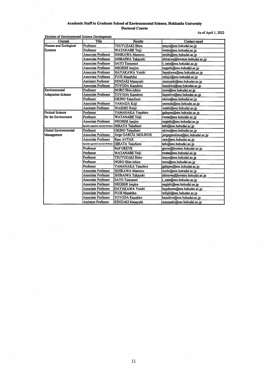#### Academic Staff in Graduate School of Environmental Science, Hokkaido University **Doctoral Course** As of April 1, 2022

 $\ddot{\phantom{0}}$ 

 $\bar{z}$ 

 $\bar{z}$ 

| <b>Courses</b>            | Title                                   | <b>Faculty</b>          | Contact email                   |
|---------------------------|-----------------------------------------|-------------------------|---------------------------------|
| Human and Ecological      | Professor                               | <b>TSUYUZAKI Shiro</b>  | tsuyu@ees.hokudai.ac.ip         |
| <b>Systems</b>            | Professor                               | WATANABE Teiji          | twata@ees.hokudai.ac.jp         |
|                           | <b>Associate Professor</b>              | ISHIKAWA Mamoru         | mishi@ees.hokudai.ac.jp         |
|                           | <b>Associate Professor</b>              | SHIRAIWA Takayuki       | shiraiwa@lowtem.hokudai.ac.jp   |
|                           | <b>Associate Professor</b>              | <b>SATO Tomonori</b>    | t_sato@ees.hokudai.ac.jp        |
|                           | <b>Associate Professor</b>              | NEGISHI Junjiro         | negishi@ees.hokudai.ac.jp       |
|                           | <b>Associate Professor</b>              | HAYAKAWA Yuichi         | hayakawa@ees.hokudai.ac.jp      |
|                           | Associate Professor                     | FUJII Masahiko          | mfujii@ees.hokudai.ac.jp        |
|                           | <b>Assistant Professor</b>              | SENZAKI Masayuki        | msenzaki@ees.hokudai.ac.jp      |
|                           | <b>Associate Professor</b>              | TOYODA Kazuhiro         | kazuhiro@ees.hokudai.ac.jp      |
| Environmental             | Professor                               | <b>NORO Shin-ichiro</b> | noro@ees.hokudai.ac.jp          |
| <b>Adaptation Science</b> | <b>Associate Professor</b>              | <b>TOYODA Kazuhiro</b>  | kazuhiro@ees.hokudai.ac.jp      |
|                           | Professor                               | OKINO Tatsufumi         | okino@ees.hokudai.ac.jp         |
|                           | <b>Associate Professor</b>              | YAMADA Koji             | yamada@ees.hokudai.ac.jp        |
|                           | <b>Assistant Professor</b>              | WASHIO Kenji            | washi@ees.hokudai.ac.ip         |
| <b>Pretical Science</b>   | Professor                               | YAMANAKA Yasuhiro       | galapen@ees.hokudai.ac.jp       |
| for the Environment       | Professor                               | WATANABE Teiji          | twata@ees.hokudai.ac.jp         |
|                           | <b>Associate Professor</b>              | <b>NEGISHI Juniiro</b>  | negishi@ees.hokudai.ac.jp       |
|                           | Specially Appointed Associate Professor | <b>HIRATA Takafumi</b>  | tahi@ees.hokudai.ac.jp          |
| Global Environmental      | Professor                               | <b>OKINO Tatsufumi</b>  | okino@ees.hokudai.ac.jp         |
| Management                | <b>Associate Professor</b>              | Jorge GARCÍA MOLINOS    | jorgegmolinos@arc.hokudai.ac.jp |
|                           | <b>Associate Professor</b>              | <b>Ram AVTAR</b>        | ram@ees.hokudai.ac.jp           |
|                           | Specially Appointed Associate Professor | HIRATA Takafumi         | tahi@ees.hokudai.ac.jp          |
|                           | Professor                               | <b>Ralf GREVE</b>       | greve@lowtem.hokudai.ac.jp      |
|                           | Professor                               | <b>WATANABE Teiji</b>   | twata@ees.hokudai.ac.ip         |
|                           | Professor                               | <b>TSUYUZAKI Shiro</b>  | tsuyu@ees.hokudai.ac.jp         |
|                           | Professor                               | <b>NORO Shin-ichiro</b> | noro@ees.hokudai.ac.jp          |
|                           | Professor                               | YAMANAKA Yasuhiro       | galapen@ees.hokudai.ac.jp       |
|                           | Associate Professor                     | <b>ISHIKAWA Mamoru</b>  | mishi@ees.hokudai.ac.jp         |
|                           | Associate Professor                     | SHIRAIWA Takayuki       | shiraiwa@lowtem.hokudai.ac.ip   |
|                           | Associate Professor                     | <b>SATO Tomonori</b>    | t_sato@ees.hokudai.ac.jp        |
|                           | Associate Professor                     | <b>NEGISHI Junjiro</b>  | negishi@ees.hokudai.ac.jp       |
|                           | <b>Associate Professor</b>              | HAYAKAWA Yuichi         | hayakawa@ees.hokudai.ac.ip      |
|                           | Associate Professor                     | <b>FUJII Masahiko</b>   | mfujii@ees.hokudai.ac.jp        |
|                           | Associate Professor                     | <b>TOYODA Kazuhiro</b>  | kazuhiro@ees.hokudai.ac.jp      |
|                           | Assistant Professor                     | SENZAKI Masavuki        | msenzaki@ees.hokudai.ac.in      |

 $\ddot{\phantom{a}}$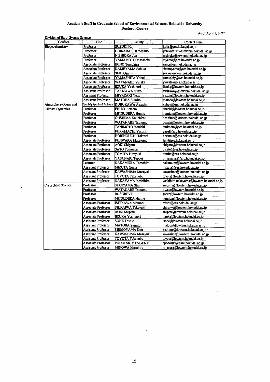## Academic Staff in Graduate School of Environmental Science, Hokkaido University<br>Doctoral Course

As of April 1, 2022

| Courses                 | <b>Title</b>                  | <b>Faculty</b>             | Contact email                           |
|-------------------------|-------------------------------|----------------------------|-----------------------------------------|
| Biogeochemistry         | Professor                     | <b>SUZUKI Koji</b>         | kojis@ees.hokudai.ac.jp                 |
|                         | Professor                     | <b>CHIKARAISHI Yoshito</b> | ychikaraishi@lowtem.hokudai.ac.jp       |
|                         | Professor                     | NISHIOKA Jun               | nishioka@lowtem.hokudai.ac.jp           |
|                         | Professor                     | YAMAMOTO Masanobu          | myama@ees.hokudai.ac.ip                 |
|                         | Associate Professor           | <b>IRINO Tomohisa</b>      | irino@ees.hokudai.ac.jp                 |
|                         | Associate Professor           | <b>KAMEYAMA Sohiko</b>     | skameyama@ees.hokudai.ac.ip             |
|                         | Associate Professor           | SEKI Osamu                 | seki@lowtem.hokudai.ac.jp               |
|                         | Associate Professor           | YAMASHITA Yohei            | yamashiy@ees.hokudai.ac.jp              |
|                         | Associate Professor           | <b>WATANABE Yutaka</b>     | vywata@ees.hokudai.ac.jp                |
|                         | Associate Professor           | <b>IIZUKA Yoshinori</b>    | iizuka@lowtem.hokudai.ac.jp             |
|                         | Assistant Professor           | TAKIZAWA Yuko              | takizaway@lowtem.hokudai.ac.jp          |
|                         | Assistant Professor           | MIYAZAKI Yuzo              | yuzom@lowtem.hokudai.ac.jp              |
|                         | <b>Assistant Professor</b>    | <b>MATOBA Sumito</b>       | matoba@lowtem.hokudai.ac.jp             |
| Atmosphere-Ocean and    | Specially Appointed Professor | KUBOKAWA Atsushi           | kubok@ees.hokudai.ac.jp                 |
| <b>Climate Dynamics</b> | Professor                     | <b>EBUCHI Naoto</b>        | ebuchi@lowtem.hokudai.ac.jp             |
|                         | Professor                     | <b>MITSUDERA Humio</b>     | humiom@lowtem.hokudai.ac.jp             |
|                         | Professor                     | <b>OHSHIMA Keiichirou</b>  | ohshima@lowtem.hokudai.ac.jp            |
|                         | Professor                     | <b>WATANABE Tsutomu</b>    | t-wata@lowtem.hokudai.ac.jp             |
|                         | Professor                     | <b>TANIMOTO Youichi</b>    | tanimoto@ees.hokudai.ac.jp              |
|                         | Professor                     | FUKAMACHI Yasushi          | yasuf@arc.hokudai.ac.jp                 |
|                         | Professor                     | HORINOUCHI Takeshi         | horinout@ees.hokudai.ac.jp              |
|                         | Associate Professor           | FUJIWARA Masatomo          | fuji@ees.hokudai.ac.jp                  |
|                         | <b>Associate Professor</b>    | AOKI Shigeru               | shigeru@lowtem.hokudai.ac.jp            |
|                         | Associate Professor           | <b>SATO Tomonori</b>       | t_sato@ees.hokudai.ac.jp                |
|                         | Associate Professor           | TOMITA Hiroyuki            | tomita@ees.hokudai.ac.jp                |
|                         | <b>Associate Professor</b>    | YASUNARI Teppei            | t.j.yasunari@arc.hokudai.ac.jp          |
|                         | Lecturer                      | NAKAMURA Tomohiro          | nakamura@lowtem.hokudai.ac.jp           |
|                         | <b>Assistant Professor</b>    | <b>MIZUTA Genta</b>        | mizuta@ees.hokudai.ac.jp                |
|                         | Assistant Professor           | KAWASHIMA Masayuki         | kawasima@lowtem.hokudai.ac.jp           |
|                         | <b>Assistant Professor</b>    | TOYOTA Takenobu            | toyota@lowtem.hokudai.ac.jp             |
|                         | <b>Assistant Professor</b>    | NAKAYAMA Yoshihiro         | yoshihiro.nakayama@lowtem.hokudai.ac.jp |
| Cryosphere Science      | Professor                     | <b>SUGIYAMA Shin</b>       | sugishin@lowtem.hokudai.ac.jp           |
|                         | Professor                     | <b>WATANABE Tsutomu</b>    | t-wata@lowtem.hokudai.ac.jp             |
|                         | Professor                     | <b>Ralf GREVE</b>          | greve@lowtem.hokudai.ac.jp              |
|                         | Professor                     | <b>MITSUDERA Humio</b>     | humiom@lowtem.hokudai.ac.jp             |
|                         | <b>Associate Professor</b>    | ISHIKAWA Mamoru            | mishi@ees.hokudai.ac.jp                 |
|                         | Associate Professor           | SHIRAIWA Takayuki          | shiraiwa@lowtem.hokudai.ac.jp           |
|                         | Associate Professor           | AOKI Shigeru               | shigeru@lowtem.hokudai.ac.jp            |
|                         | Associate Professor           | <b>IIZUKA Yoshinori</b>    | iizuka@lowtem.hokudai.ac.jp             |
|                         | Assistant Professor           | <b>SONE Toshio</b>         | tsone@lowtem.hokudai.ac.jp              |
|                         | Assistant Professor           | <b>MATOBA Sumito</b>       | matoba@lowtem.hokudai.ac.jp             |
|                         | Assistant Professor           | SHIMOYAMA Kou              | k-shimo@lowtem.hokudai.ac.jp ·          |
|                         | Assistant Professor           | KAWASHIMA Masayuki         | kawasima@lowtem.hokudai.ac.jp           |
|                         | Assistant Professor           | TOYOTA Takenobu            | toyota@lowtem.hokudai.ac.jp             |
|                         | <b>Associate Professor</b>    | PODOLSKIY EVGENY           | epodolskiy@arc.hokudai.ac.jp            |
|                         | <b>Assistant Professor</b>    | MINOWA Masahiro            | m masa@lowtem.hokudai.ac.jp             |

 $\bar{z}$ 

 $\ddot{\phantom{0}}$ 

 $\ddot{\phantom{0}}$ 

 $\hat{\mathcal{A}}$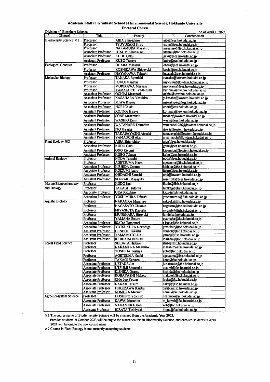#### Academic Staff in Graduate School of Environmental Science, Hokkaido University

**Doctoral Course** 

| Division of Biosphere Science    |                            |                          | As of April 1, 2022               |
|----------------------------------|----------------------------|--------------------------|-----------------------------------|
| <b>Courses</b>                   | <b>Title</b>               | Faculty                  | Contact email                     |
| <b>Biodiversity Science *1</b>   | Professor                  | AIBA Shin-ichiro         | aiba@ees.hokudai.ac.jp            |
|                                  | Professor                  | TSUYUZAKI Shiro          | tsuyu@ees.hokudai.ac.jp           |
|                                  | Professor                  | <b>NAKAMURA Masahiro</b> | masahiro@fsc.hokudai.ac.ip        |
|                                  | <b>Associate Professor</b> | <b>UTSUMI Shunsuke</b>   | utsumi@fsc.hokudai.ac.jp          |
|                                  | Associate Professor        | KUDO Gaku                | gaku@ees.hokudai.ac.jp            |
|                                  | <b>Assistant Professor</b> | <b>KUBO Takuya</b>       | kubo@ees.hokudai.ac.jp            |
| <b>Ecological Genetics</b>       | Professor                  | OHARA Masashi            | ohara@ees.hokudai.ac.jp           |
|                                  | Professor                  | KOSHIKAWA Shigeyuki      | koshi@ees.hokudai.ac.ip           |
|                                  | <b>Assistant Professor</b> | HAYAKAWA Takashi         | hayatak@ees.hokudai.ac.ip         |
| <b>Molecular Biology</b>         | Professor                  | TANAKA Ryouichi          | rtanaka@lowtem.hokudai.ac.jp      |
|                                  | Professor                  | <b>FUKUI Manabu</b>      | my-fukui@lowtem.hokudai.ac.jp     |
|                                  | Professor                  | <b>MORIKAWA Masaaki</b>  | morikawa@ees.hokudai.ac.jp        |
|                                  | Professor                  | YAMAGUCHI Yoshifumi      | bunbun@lowtem.hokudai.ac.ip       |
|                                  | Associate Professor        | OCHIAI Masanori          | ochiai@lowtem.hokudai.ac.jp       |
|                                  | Associate Professor        | KASAHARA Yasuhiro        | y-kasaha@lowtem.hokudai.ac.jp     |
|                                  | Associate Professor        | MIWA Kyoko               | miwakyoko@ees.hokudai.ac.ip       |
|                                  | Associate Professor        | <b>HORI Chiaki</b>       | chori@ees.hokudai.ac.jp           |
|                                  | Assistant Professor        | KOJIMA Hisaya            | kojimah@lowtem.hokudai.ac.jp      |
|                                  | <b>Assistant Professor</b> | <b>SONE Masamitsu</b>    | msone@lowtem.hokudai.ac.jp        |
|                                  | <b>Assistant Professor</b> | WASHIO Kenji             | washi@ees.hokudai.ac.jp           |
|                                  | Assistant Professor        | <b>WATANABE Tomohiro</b> | watanabe1986@lowtem.hokudai.ac.jp |
|                                  | <b>Assistant Professor</b> | <b>ITO Hisashi</b>       | ito98@lowtem.hokudai.ac.jp        |
|                                  | Assistant Professor        | TAKABAYASHI Atsushi      | takabayashi@lowtem.hokudai.ac.jp  |
|                                  | Assistant Professor        | YAMAUCHI Akari           | a.yamauchi@lowtem.hokudai.ac.jp   |
| Plant Ecology $\divideontimes$ 2 | Professor                  | <b>AIBA Shin-ichiro</b>  | aiba@ees.hokudai.ac.jp            |
|                                  | Associate Professor        | <b>KUDO Gaku</b>         | gaku@ees.hokudai.ac.ip            |
|                                  | Assistant Professor        | <b>ONO Kiyomi</b>        | kiyomion@lowtem.hokudai.ac.jp     |
|                                  | <b>Assistant Professor</b> | <b>KUBO Takuya</b>       | kubo@ees.hokudai.ac.in            |
| <b>Animal Ecology</b>            | Professor                  | NODA Takashi             | noda@ees.hokudai.ac.ip            |
|                                  | Professor                  | <b>AGETSUMA Naoki</b>    | agetsuma@fsc.hokudai.ac.jp        |
|                                  | <b>Associate Professor</b> | KISHIDA Osamu            | kishida@fsc.hokudai.ac.jp         |
|                                  | Associate Professor        | <b>KOIZUMI Itsuro</b>    | itsuro@ees.hokudai.ac.jp          |
|                                  | Assistant Professor        | <b>OHDACHI Satoshi</b>   | ohd@lowtem.hokudai.ac.jp          |
|                                  | <b>Assistant Professor</b> | SENZAKI Masayuki         | msenzaki@ees.hokudai.ac.jp        |
| Marine Biogeochemistry           | Professor                  | KUDO Isao                | ikudo@fish.hokudai.ac.jp          |
| and Biology                      | Professor                  | <b>TAKAGI Tsutomu</b>    |                                   |
|                                  |                            |                          | tutakagi@fish.hokudai.ac.jp       |
|                                  | Associate Professor        | URA Kazuhiro             | kazu@fish.hokudai.ac.jp           |
|                                  | Associate Professor        | YOSHIMURA Takeshi        | yoshimura-t@fish.hokudai.ac.jp    |
| <b>Aquatic Biology</b>           | Professor                  | NAKAOKA Masahiro         | nakaoka@fsc.hokudai.ac.jp         |
|                                  | Professor                  | NAGASATO Chikako         | nagasato@fsc.sci.hokudai.ac.jp    |
|                                  | Professor                  | MIYASHITA Kazushi        | miyashi@fish.hokudai.ac.jp        |
|                                  | Professor                  | <b>MUNEHARA Hiroyuki</b> | hm@fsc.hokudai.ac.jp              |
|                                  | Professor                  | YAMAHA Etsuro            | eyamaha@fsc.hokudai.ac.ip         |
|                                  | <b>Associate Professor</b> | ISADA Tomonori           | t-isada@fsc.hokudai.ac.jp         |
|                                  | Associate Professor        | YOTSUKURA Norishige      | yotsukur@fsc.hokudai.ac.jp        |
|                                  | <b>Assistant Professor</b> | DENBOU Takashi           | denboh@fsc.hokudai.ac.jp          |
|                                  | <b>Assistant Professor</b> | YAMAMOTO Jun             | yamaj@fish.hokudai.ac.jp          |
|                                  | <b>Assistant Professor</b> | ICHIHARA kensuke         | ichihara@fsc.hokudai.ac.jp        |
| <b>Forest Field Science</b>      | Professor                  | SHIBATA Hideaki          | shiba@fsc.hokudai.ac.ip           |
|                                  | Professor                  | <b>NAKAMURA Masahiro</b> | masahiro@fsc.hokudai.ac.jp        |
|                                  | Professor                  | YOSHIDA Toshiya          | yoto@fsc.hokudai.ac.jp            |
|                                  | Professor                  | AGETSUMA Naoki           | agetsuma@fsc.hokudai.ac.jp        |
|                                  | Professor                  | TAKAGI Kentaro           | kentt@fsc.hokudai.ac.jp           |
|                                  | Associate Professor        | <b>UETAKE Jun</b>        | jun.uetake@fsc.hokudai.ac.jp      |
|                                  | Associate Professor        | UTSUMI Shunsuke          | utsumi@fsc.hokudai.ac.jp          |
|                                  | Associate Professor        | KISHIDA Osamu            | kishida@fsc.hokudai.ac.jp         |
|                                  | Associate Professor        | KOBAYASHI Makoto         | makoto@fsc.hokudai.ac.jp          |
|                                  | Associate Professor        | CHA Joo Young            | jycha@fsc.hokudai.ac.jp           |
|                                  | Associate Professor        | <b>NAKAJI Tatsuro</b>    | nakaji@fsc.hokudai.ac.ip          |
|                                  | <b>Associate Professor</b> | FUKUZAWA Karibu          | caribu@fsc.hokudai.ac.ip          |
|                                  | <b>Assistant Professor</b> | NOMURA Mutsumi           | nomu@fsc.hokudai.ac.jp            |
| Agro-Ecosystem Science           | Professor                  | <b>HOSHINO Yoichiro</b>  | hoshino@fsc.hokudai.ac.jp         |
|                                  | <b>Associate Professor</b> | KAWAI Masahito           | m_kawai@fsc.hokudai.ac.jp         |
|                                  | Associate Professor        | NAKAMURA Koh             | koh@fsc.hokudai.ac.jp             |
|                                  | <b>Assistant Professor</b> | <b>HIRATA Toshiyuki</b>  | hirata@fsc.hokudai.ac.jp          |
|                                  |                            |                          |                                   |

※1 The course name of Biodiviversity Science will be changed from the Academic Year 2023.

Enrolled students in October 2023 will belong to the current course in Biodiversity Science, and enrolled students in April 2024 will belong to the new course name.

 $\%2$  Course in Plant Ecology is not currently accepting students.